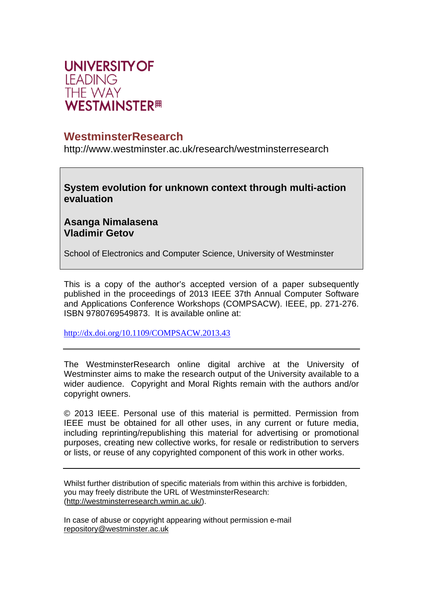

# **WestminsterResearch**

http://www.westminster.ac.uk/research/westminsterresearch

**System evolution for unknown context through multi-action evaluation** 

# **Asanga Nimalasena Vladimir Getov**

School of Electronics and Computer Science, University of Westminster

This is a copy of the author's accepted version of a paper subsequently published in the proceedings of 2013 IEEE 37th Annual Computer Software and Applications Conference Workshops (COMPSACW). IEEE, pp. 271-276. ISBN 9780769549873. It is available online at:

http://dx.doi.org/10.1109/COMPSACW.2013.43

The WestminsterResearch online digital archive at the University of Westminster aims to make the research output of the University available to a wider audience. Copyright and Moral Rights remain with the authors and/or copyright owners.

© 2013 IEEE. Personal use of this material is permitted. Permission from IEEE must be obtained for all other uses, in any current or future media, including reprinting/republishing this material for advertising or promotional purposes, creating new collective works, for resale or redistribution to servers or lists, or reuse of any copyrighted component of this work in other works.

Whilst further distribution of specific materials from within this archive is forbidden, you may freely distribute the URL of WestminsterResearch: (http://westminsterresearch.wmin.ac.uk/).

In case of abuse or copyright appearing without permission e-mail repository@westminster.ac.uk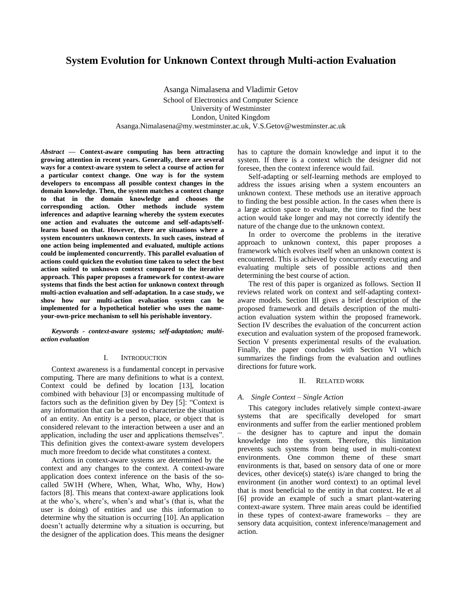# **System Evolution for Unknown Context through Multi-action Evaluation**

Asanga Nimalasena and Vladimir Getov School of Electronics and Computer Science University of Westminster London, United Kingdom Asanga.Nimalasena@my.westminster.ac.uk, V.S.Getov@westminster.ac.uk

*Abstract* **— Context-aware computing has been attracting growing attention in recent years. Generally, there are several ways for a context-aware system to select a course of action for a particular context change. One way is for the system developers to encompass all possible context changes in the domain knowledge. Then, the system matches a context change to that in the domain knowledge and chooses the corresponding action. Other methods include system inferences and adaptive learning whereby the system executes one action and evaluates the outcome and self-adapts/selflearns based on that. However, there are situations where a system encounters unknown contexts. In such cases, instead of one action being implemented and evaluated, multiple actions could be implemented concurrently. This parallel evaluation of actions could quicken the evolution time taken to select the best action suited to unknown context compared to the iterative approach. This paper proposes a framework for context-aware systems that finds the best action for unknown context through multi-action evaluation and self-adaptation. In a case study, we show how our multi-action evaluation system can be implemented for a hypothetical hotelier who uses the nameyour-own-price mechanism to sell his perishable inventory.** 

*Keywords - context-aware systems; self-adaptation; multiaction evaluation*

# I. INTRODUCTION

Context awareness is a fundamental concept in pervasive computing. There are many definitions to what is a context. Context could be defined by location [13], location combined with behaviour [3] or encompassing multitude of factors such as the definition given by Dey [5]: "Context is any information that can be used to characterize the situation of an entity. An entity is a person, place, or object that is considered relevant to the interaction between a user and an application, including the user and applications themselves". This definition gives the context-aware system developers much more freedom to decide what constitutes a context.

Actions in context-aware systems are determined by the context and any changes to the context. A context-aware application does context inference on the basis of the socalled 5W1H (Where, When, What, Who, Why, How) factors [8]. This means that context-aware applications look at the who's, where's, when's and what's (that is, what the user is doing) of entities and use this information to determine why the situation is occurring [10]. An application doesn't actually determine why a situation is occurring, but the designer of the application does. This means the designer

has to capture the domain knowledge and input it to the system. If there is a context which the designer did not foresee, then the context inference would fail.

Self-adapting or self-learning methods are employed to address the issues arising when a system encounters an unknown context. These methods use an iterative approach to finding the best possible action. In the cases when there is a large action space to evaluate, the time to find the best action would take longer and may not correctly identify the nature of the change due to the unknown context.

In order to overcome the problems in the iterative approach to unknown context, this paper proposes a framework which evolves itself when an unknown context is encountered. This is achieved by concurrently executing and evaluating multiple sets of possible actions and then determining the best course of action.

The rest of this paper is organized as follows. Section II reviews related work on context and self-adapting contextaware models. Section III gives a brief description of the proposed framework and details description of the multiaction evaluation system within the proposed framework. Section IV describes the evaluation of the concurrent action execution and evaluation system of the proposed framework. Section V presents experimental results of the evaluation. Finally, the paper concludes with Section VI which summarizes the findings from the evaluation and outlines directions for future work.

#### II. RELATED WORK

### *A. Single Context – Single Action*

This category includes relatively simple context-aware systems that are specifically developed for smart environments and suffer from the earlier mentioned problem – the designer has to capture and input the domain knowledge into the system. Therefore, this limitation prevents such systems from being used in multi-context environments. One common theme of these smart environments is that, based on sensory data of one or more devices, other device(s) state(s) is/are changed to bring the environment (in another word context) to an optimal level that is most beneficial to the entity in that context. He et al [6] provide an example of such a smart plant-watering context-aware system. Three main areas could be identified in these types of context-aware frameworks – they are sensory data acquisition, context inference/management and action.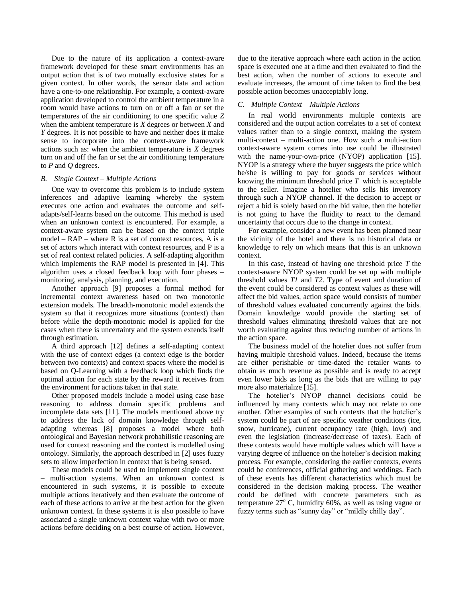Due to the nature of its application a context-aware framework developed for these smart environments has an output action that is of two mutually exclusive states for a given context. In other words, the sensor data and action have a one-to-one relationship. For example, a context-aware application developed to control the ambient temperature in a room would have actions to turn on or off a fan or set the temperatures of the air conditioning to one specific value *Z* when the ambient temperature is *X* degrees or between *X* and *Y* degrees. It is not possible to have and neither does it make sense to incorporate into the context-aware framework actions such as: when the ambient temperature is *X* degrees turn on and off the fan or set the air conditioning temperature to *P* and *Q* degrees.

## *B. Single Context – Multiple Actions*

One way to overcome this problem is to include system inferences and adaptive learning whereby the system executes one action and evaluates the outcome and selfadapts/self-learns based on the outcome. This method is used when an unknown context is encountered. For example, a context-aware system can be based on the context triple model – RAP – where R is a set of context resources, A is a set of actors which interact with context resources, and P is a set of real context related policies. A self-adapting algorithm which implements the RAP model is presented in [4]. This algorithm uses a closed feedback loop with four phases – monitoring, analysis, planning, and execution.

Another approach [9] proposes a formal method for incremental context awareness based on two monotonic extension models. The breadth-monotonic model extends the system so that it recognizes more situations (context) than before while the depth-monotonic model is applied for the cases when there is uncertainty and the system extends itself through estimation.

A third approach [12] defines a self-adapting context with the use of context edges (a context edge is the border between two contexts) and context spaces where the model is based on Q-Learning with a feedback loop which finds the optimal action for each state by the reward it receives from the environment for actions taken in that state.

Other proposed models include a model using case base reasoning to address domain specific problems and incomplete data sets [11]. The models mentioned above try to address the lack of domain knowledge through selfadapting whereas [8] proposes a model where both ontological and Bayesian network probabilistic reasoning are used for context reasoning and the context is modelled using ontology. Similarly, the approach described in [2] uses fuzzy sets to allow imperfection in context that is being sensed.

These models could be used to implement single context – multi-action systems. When an unknown context is encountered in such systems, it is possible to execute multiple actions iteratively and then evaluate the outcome of each of these actions to arrive at the best action for the given unknown context. In these systems it is also possible to have associated a single unknown context value with two or more actions before deciding on a best course of action. However, due to the iterative approach where each action in the action space is executed one at a time and then evaluated to find the best action, when the number of actions to execute and evaluate increases, the amount of time taken to find the best possible action becomes unacceptably long.

#### *C. Multiple Context – Multiple Actions*

In real world environments multiple contexts are considered and the output action correlates to a set of context values rather than to a single context, making the system multi-context – multi-action one. How such a multi-action context-aware system comes into use could be illustrated with the name-your-own-price (NYOP) application [15]. NYOP is a strategy where the buyer suggests the price which he/she is willing to pay for goods or services without knowing the minimum threshold price *T* which is acceptable to the seller. Imagine a hotelier who sells his inventory through such a NYOP channel. If the decision to accept or reject a bid is solely based on the bid value, then the hotelier is not going to have the fluidity to react to the demand uncertainty that occurs due to the change in context.

For example, consider a new event has been planned near the vicinity of the hotel and there is no historical data or knowledge to rely on which means that this is an unknown context.

In this case, instead of having one threshold price *T* the context-aware NYOP system could be set up with multiple threshold values *T1* and *T2*. Type of event and duration of the event could be considered as context values as these will affect the bid values, action space would consists of number of threshold values evaluated concurrently against the bids. Domain knowledge would provide the starting set of threshold values eliminating threshold values that are not worth evaluating against thus reducing number of actions in the action space.

The business model of the hotelier does not suffer from having multiple threshold values. Indeed, because the items are either perishable or time-dated the retailer wants to obtain as much revenue as possible and is ready to accept even lower bids as long as the bids that are willing to pay more also materialize [15].

The hotelier's NYOP channel decisions could be influenced by many contexts which may not relate to one another. Other examples of such contexts that the hotelier's system could be part of are specific weather conditions (ice, snow, hurricane), current occupancy rate (high, low) and even the legislation (increase/decrease of taxes). Each of these contexts would have multiple values which will have a varying degree of influence on the hotelier's decision making process. For example, considering the earlier contexts, events could be conferences, official gathering and weddings. Each of these events has different characteristics which must be considered in the decision making process. The weather could be defined with concrete parameters such as temperature  $27^{\circ}$  C, humidity 60%, as well as using vague or fuzzy terms such as "sunny day" or "mildly chilly day".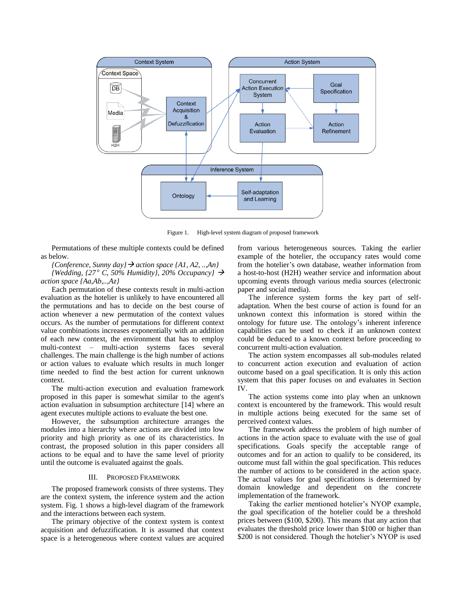

Figure 1. High-level system diagram of proposed framework

Permutations of these multiple contexts could be defined as below.

*{Conference, Sunny day} action space {A1, A2, ..,An} {Wedding, {27<sup>°</sup> C, 50% Humidity}, 20% Occupancy}*  $\rightarrow$ *action space {Aa,Ab,..,Az}*

Each permutation of these contexts result in multi-action evaluation as the hotelier is unlikely to have encountered all the permutations and has to decide on the best course of action whenever a new permutation of the context values occurs. As the number of permutations for different context value combinations increases exponentially with an addition of each new context, the environment that has to employ multi-context – multi-action systems faces several challenges. The main challenge is the high number of actions or action values to evaluate which results in much longer time needed to find the best action for current unknown context.

The multi-action execution and evaluation framework proposed in this paper is somewhat similar to the agent's action evaluation in subsumption architecture [14] where an agent executes multiple actions to evaluate the best one.

However, the subsumption architecture arranges the modules into a hierarchy where actions are divided into low priority and high priority as one of its characteristics. In contrast, the proposed solution in this paper considers all actions to be equal and to have the same level of priority until the outcome is evaluated against the goals.

### III. PROPOSED FRAMEWORK

The proposed framework consists of three systems. They are the context system, the inference system and the action system. Fig. 1 shows a high-level diagram of the framework and the interactions between each system.

The primary objective of the context system is context acquisition and defuzzification. It is assumed that context space is a heterogeneous where context values are acquired from various heterogeneous sources. Taking the earlier example of the hotelier, the occupancy rates would come from the hotelier's own database, weather information from a host-to-host (H2H) weather service and information about upcoming events through various media sources (electronic paper and social media).

The inference system forms the key part of selfadaptation. When the best course of action is found for an unknown context this information is stored within the ontology for future use. The ontology's inherent inference capabilities can be used to check if an unknown context could be deduced to a known context before proceeding to concurrent multi-action evaluation.

The action system encompasses all sub-modules related to concurrent action execution and evaluation of action outcome based on a goal specification. It is only this action system that this paper focuses on and evaluates in Section IV.

The action systems come into play when an unknown context is encountered by the framework. This would result in multiple actions being executed for the same set of perceived context values.

The framework address the problem of high number of actions in the action space to evaluate with the use of goal specifications. Goals specify the acceptable range of outcomes and for an action to qualify to be considered, its outcome must fall within the goal specification. This reduces the number of actions to be considered in the action space. The actual values for goal specifications is determined by domain knowledge and dependent on the concrete implementation of the framework.

Taking the earlier mentioned hotelier's NYOP example, the goal specification of the hotelier could be a threshold prices between (\$100, \$200). This means that any action that evaluates the threshold price lower than \$100 or higher than \$200 is not considered. Though the hotelier's NYOP is used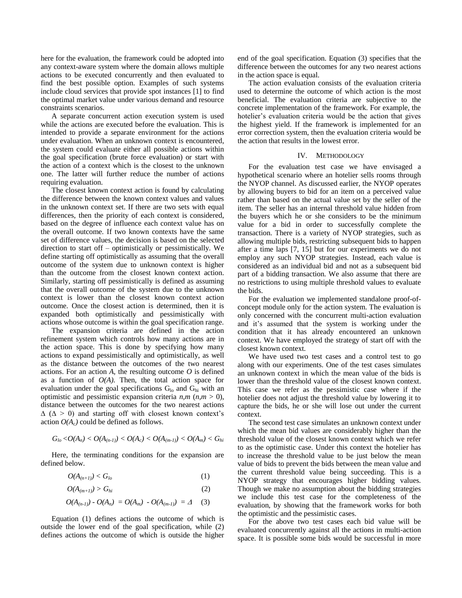here for the evaluation, the framework could be adopted into any context-aware system where the domain allows multiple actions to be executed concurrently and then evaluated to find the best possible option. Examples of such systems include cloud services that provide spot instances [1] to find the optimal market value under various demand and resource constraints scenarios.

A separate concurrent action execution system is used while the actions are executed before the evaluation. This is intended to provide a separate environment for the actions under evaluation. When an unknown context is encountered, the system could evaluate either all possible actions within the goal specification (brute force evaluation) or start with the action of a context which is the closest to the unknown one. The latter will further reduce the number of actions requiring evaluation.

The closest known context action is found by calculating the difference between the known context values and values in the unknown context set. If there are two sets with equal differences, then the priority of each context is considered, based on the degree of influence each context value has on the overall outcome. If two known contexts have the same set of difference values, the decision is based on the selected direction to start off – optimistically or pessimistically. We define starting off optimistically as assuming that the overall outcome of the system due to unknown context is higher than the outcome from the closest known context action. Similarly, starting off pessimistically is defined as assuming that the overall outcome of the system due to the unknown context is lower than the closest known context action outcome. Once the closest action is determined, then it is expanded both optimistically and pessimistically with actions whose outcome is within the goal specification range.

The expansion criteria are defined in the action refinement system which controls how many actions are in the action space. This is done by specifying how many actions to expand pessimistically and optimistically, as well as the distance between the outcomes of the two nearest actions. For an action *A,* the resulting outcome *O* is defined as a function of  $O(A)$ . Then, the total action space for evaluation under the goal specifications  $G<sub>lo</sub>$  and  $G<sub>hi</sub>$  with an optimistic and pessimistic expansion criteria  $n,m$  ( $n,m > 0$ ), distance between the outcomes for the two nearest actions  $\Delta$  ( $\Delta > 0$ ) and starting off with closest known context's action  $O(A_c)$  could be defined as follows.

$$
G_{lo} < O(A_n) < O(A_{(n-1)}) < O(A_c) < O(A_{(m-1)}) < O(A_m) < G_{hi}
$$

Here, the terminating conditions for the expansion are defined below.

 $O(A_{(n+1)}) < G_{lo}$  (1)

$$
O(A_{(m+1)}) > G_{hi} \tag{2}
$$

$$
O(A_{(n-1)}) - O(A_n) = O(A_m) - O(A_{(m-1)}) = \Delta \quad (3)
$$

Equation (1) defines actions the outcome of which is outside the lower end of the goal specification, while (2) defines actions the outcome of which is outside the higher end of the goal specification. Equation (3) specifies that the difference between the outcomes for any two nearest actions in the action space is equal.

The action evaluation consists of the evaluation criteria used to determine the outcome of which action is the most beneficial. The evaluation criteria are subjective to the concrete implementation of the framework. For example, the hotelier's evaluation criteria would be the action that gives the highest yield. If the framework is implemented for an error correction system, then the evaluation criteria would be the action that results in the lowest error.

### IV. METHODOLOGY

For the evaluation test case we have envisaged a hypothetical scenario where an hotelier sells rooms through the NYOP channel. As discussed earlier, the NYOP operates by allowing buyers to bid for an item on a perceived value rather than based on the actual value set by the seller of the item. The seller has an internal threshold value hidden from the buyers which he or she considers to be the minimum value for a bid in order to successfully complete the transaction. There is a variety of NYOP strategies, such as allowing multiple bids, restricting subsequent bids to happen after a time laps [7, 15] but for our experiments we do not employ any such NYOP strategies. Instead, each value is considered as an individual bid and not as a subsequent bid part of a bidding transaction. We also assume that there are no restrictions to using multiple threshold values to evaluate the bids.

For the evaluation we implemented standalone proof-ofconcept module only for the action system. The evaluation is only concerned with the concurrent multi-action evaluation and it's assumed that the system is working under the condition that it has already encountered an unknown context. We have employed the strategy of start off with the closest known context.

We have used two test cases and a control test to go along with our experiments. One of the test cases simulates an unknown context in which the mean value of the bids is lower than the threshold value of the closest known context. This case we refer as the pessimistic case where if the hotelier does not adjust the threshold value by lowering it to capture the bids, he or she will lose out under the current context.

The second test case simulates an unknown context under which the mean bid values are considerably higher than the threshold value of the closest known context which we refer to as the optimistic case. Under this context the hotelier has to increase the threshold value to be just below the mean value of bids to prevent the bids between the mean value and the current threshold value being succeeding. This is a NYOP strategy that encourages higher bidding values. Though we make no assumption about the bidding strategies we include this test case for the completeness of the evaluation, by showing that the framework works for both the optimistic and the pessimistic cases.

For the above two test cases each bid value will be evaluated concurrently against all the actions in multi-action space. It is possible some bids would be successful in more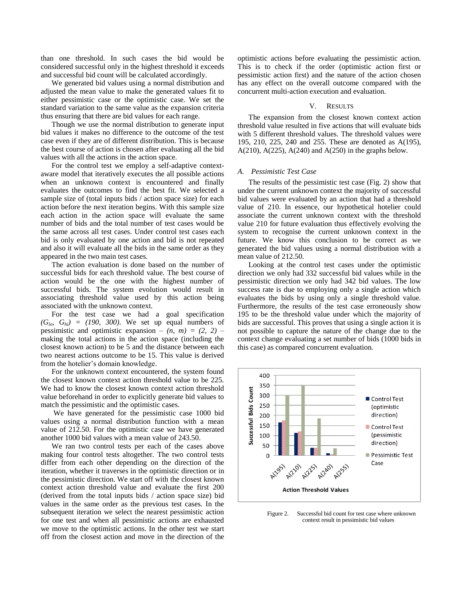than one threshold. In such cases the bid would be considered successful only in the highest threshold it exceeds and successful bid count will be calculated accordingly.

We generated bid values using a normal distribution and adjusted the mean value to make the generated values fit to either pessimistic case or the optimistic case. We set the standard variation to the same value as the expansion criteria thus ensuring that there are bid values for each range.

Though we use the normal distribution to generate input bid values it makes no difference to the outcome of the test case even if they are of different distribution. This is because the best course of action is chosen after evaluating all the bid values with all the actions in the action space.

For the control test we employ a self-adaptive contextaware model that iteratively executes the all possible actions when an unknown context is encountered and finally evaluates the outcomes to find the best fit. We selected a sample size of (total inputs bids / action space size) for each action before the next iteration begins. With this sample size each action in the action space will evaluate the same number of bids and the total number of test cases would be the same across all test cases. Under control test cases each bid is only evaluated by one action and bid is not repeated and also it will evaluate all the bids in the same order as they appeared in the two main test cases.

The action evaluation is done based on the number of successful bids for each threshold value. The best course of action would be the one with the highest number of successful bids. The system evolution would result in associating threshold value used by this action being associated with the unknown context.

For the test case we had a goal specification  $(G<sub>lo</sub>, G<sub>hi</sub>) = (190, 300)$ . We set up equal numbers of pessimistic and optimistic expansion –  $(n, m) = (2, 2)$  – making the total actions in the action space (including the closest known action) to be 5 and the distance between each two nearest actions outcome to be 15. This value is derived from the hotelier's domain knowledge.

For the unknown context encountered, the system found the closest known context action threshold value to be 225. We had to know the closest known context action threshold value beforehand in order to explicitly generate bid values to match the pessimistic and the optimistic cases.

We have generated for the pessimistic case 1000 bid values using a normal distribution function with a mean value of 212.50. For the optimistic case we have generated another 1000 bid values with a mean value of 243.50.

We ran two control tests per each of the cases above making four control tests altogether. The two control tests differ from each other depending on the direction of the iteration, whether it traverses in the optimistic direction or in the pessimistic direction. We start off with the closest known context action threshold value and evaluate the first 200 (derived from the total inputs bids / action space size) bid values in the same order as the previous test cases. In the subsequent iteration we select the nearest pessimistic action for one test and when all pessimistic actions are exhausted we move to the optimistic actions. In the other test we start off from the closest action and move in the direction of the

optimistic actions before evaluating the pessimistic action. This is to check if the order (optimistic action first or pessimistic action first) and the nature of the action chosen has any effect on the overall outcome compared with the concurrent multi-action execution and evaluation.

### V. RESULTS

The expansion from the closest known context action threshold value resulted in five actions that will evaluate bids with 5 different threshold values. The threshold values were 195, 210, 225, 240 and 255. These are denoted as A(195), A(210), A(225), A(240) and A(250) in the graphs below.

### *A. Pessimistic Test Case*

The results of the pessimistic test case (Fig. 2) show that under the current unknown context the majority of successful bid values were evaluated by an action that had a threshold value of 210. In essence, our hypothetical hotelier could associate the current unknown context with the threshold value 210 for future evaluation thus effectively evolving the system to recognise the current unknown context in the future. We know this conclusion to be correct as we generated the bid values using a normal distribution with a mean value of 212.50.

Looking at the control test cases under the optimistic direction we only had 332 successful bid values while in the pessimistic direction we only had 342 bid values. The low success rate is due to employing only a single action which evaluates the bids by using only a single threshold value. Furthermore, the results of the test case erroneously show 195 to be the threshold value under which the majority of bids are successful. This proves that using a single action it is not possible to capture the nature of the change due to the context change evaluating a set number of bids (1000 bids in this case) as compared concurrent evaluation.



Figure 2. Successful bid count for test case where unknown context result in pessimistic bid values